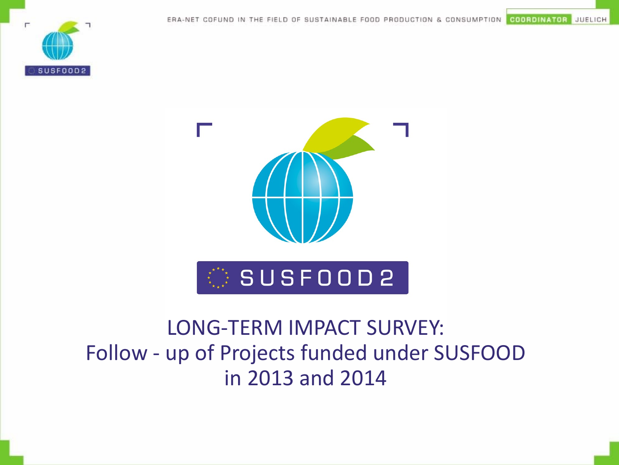SUSF00D2



#### LONG-TERM IMPACT SURVEY: Follow - up of Projects funded under SUSFOOD in 2013 and 2014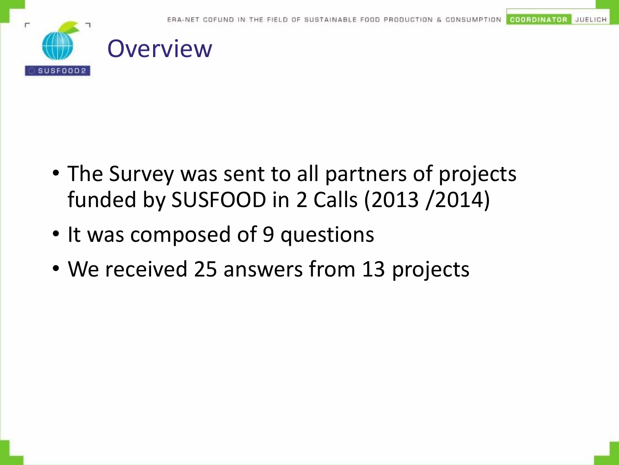

- The Survey was sent to all partners of projects funded by SUSFOOD in 2 Calls (2013 /2014)
- It was composed of 9 questions
- We received 25 answers from 13 projects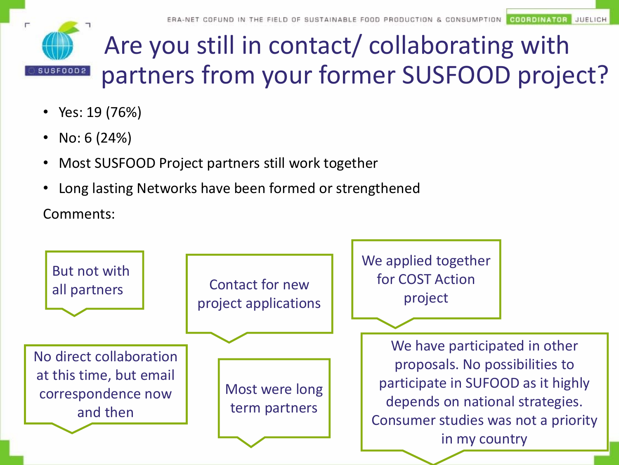

# Are you still in contact/ collaborating with partners from your former SUSFOOD project?

- Yes: 19 (76%)
- No:  $6(24%)$
- Most SUSFOOD Project partners still work together
- Long lasting Networks have been formed or strengthened

Comments:

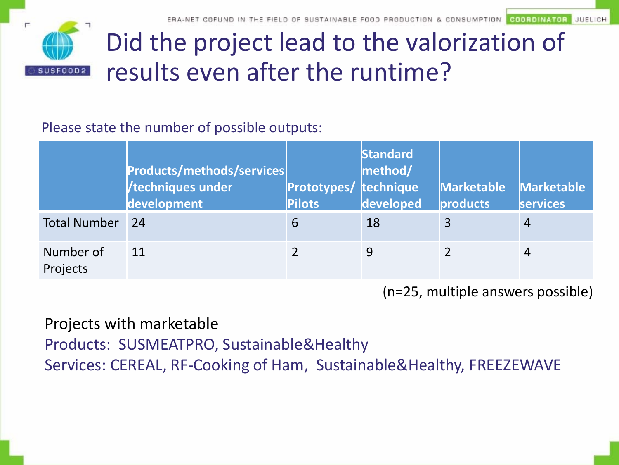

# Did the project lead to the valorization of results even after the runtime?

#### Please state the number of possible outputs:

|                       | <b>Products/methods/services</b><br>/techniques under<br>development | <b>Prototypes/ technique</b><br><b>Pilots</b> | <b>Standard</b><br>method/<br>developed | <b>Marketable</b><br>products | <b>Marketable</b><br><b>services</b> |
|-----------------------|----------------------------------------------------------------------|-----------------------------------------------|-----------------------------------------|-------------------------------|--------------------------------------|
| <b>Total Number</b>   | 24                                                                   | 6                                             | 18                                      |                               | $\overline{4}$                       |
| Number of<br>Projects | 11                                                                   |                                               | 9                                       |                               | 4                                    |

(n=25, multiple answers possible)

#### Projects with marketable

Products: SUSMEATPRO, Sustainable&Healthy

Services: CEREAL, RF-Cooking of Ham, Sustainable&Healthy, FREEZEWAVE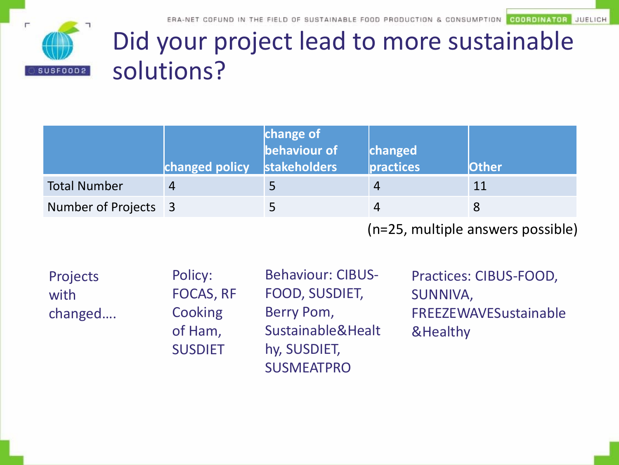

# Did your project lead to more sustainable solutions?

|                      | changed policy | change of<br><b>stakeholders</b> | changed<br>$\vert$ practices | <b>Other</b> |
|----------------------|----------------|----------------------------------|------------------------------|--------------|
| <b>Total Number</b>  |                |                                  | $\overline{4}$               | 11           |
| Number of Projects 3 |                |                                  |                              |              |
|                      |                |                                  |                              |              |

SUSMEATPRO

(n=25, multiple answers possible)

| <b>Projects</b> | Policy:          | <b>Behaviour: CIBUS-</b> |
|-----------------|------------------|--------------------------|
| with            | <b>FOCAS, RF</b> | FOOD, SUSDIET,           |
| changed         | Cooking          | Berry Pom,               |
|                 | of Ham,          | Sustainable&Healt        |
|                 | <b>SUSDIET</b>   | hy, SUSDIET,             |

Practices: CIBUS-FOOD, SUNNIVA, FREEZEWAVESustainable &Healthy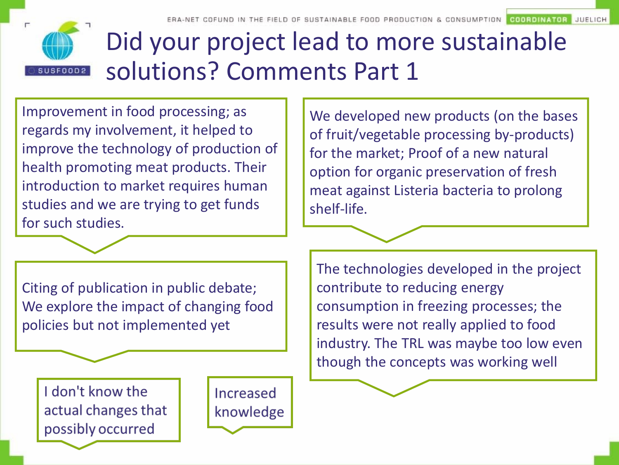

## Did your project lead to more sustainable solutions? Comments Part 1

Improvement in food processing; as regards my involvement, it helped to improve the technology of production of health promoting meat products. Their introduction to market requires human studies and we are trying to get funds for such studies.

We developed new products (on the bases of fruit/vegetable processing by-products) for the market; Proof of a new natural option for organic preservation of fresh meat against Listeria bacteria to prolong shelf-life.

Citing of publication in public debate; We explore the impact of changing food policies but not implemented yet

I don't know the actual changes that possibly occurred

Increased knowledge The technologies developed in the project contribute to reducing energy consumption in freezing processes; the results were not really applied to food industry. The TRL was maybe too low even though the concepts was working well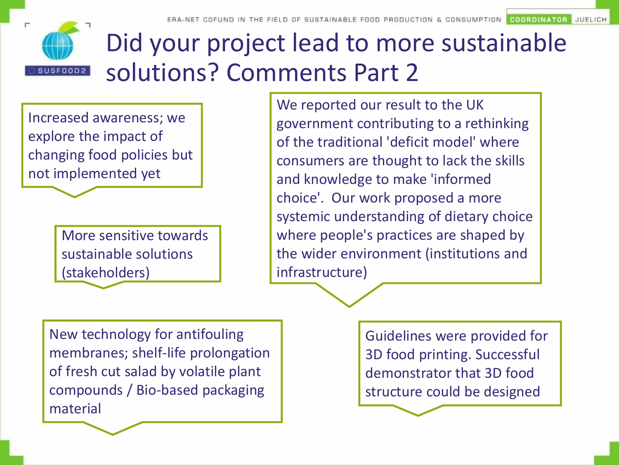

# Did your project lead to more sustainable solutions? Comments Part 2

Increased awareness; we explore the impact of changing food policies but not implemented yet

> More sensitive towards sustainable solutions (stakeholders)

We reported our result to the UK government contributing to a rethinking of the traditional 'deficit model' where consumers are thought to lack the skills and knowledge to make 'informed choice'. Our work proposed a more systemic understanding of dietary choice where people's practices are shaped by the wider environment (institutions and infrastructure)

New technology for antifouling membranes; shelf-life prolongation of fresh cut salad by volatile plant compounds / Bio-based packaging material

Guidelines were provided for 3D food printing. Successful demonstrator that 3D food structure could be designed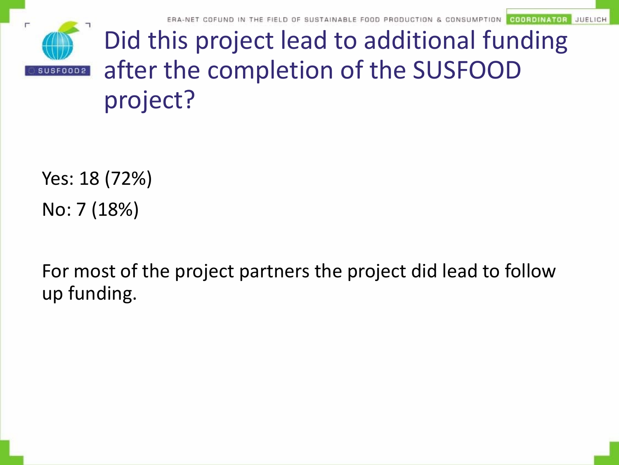

Did this project lead to additional funding after the completion of the SUSFOOD project?

Yes: 18 (72%) No: 7 (18%)

For most of the project partners the project did lead to follow up funding.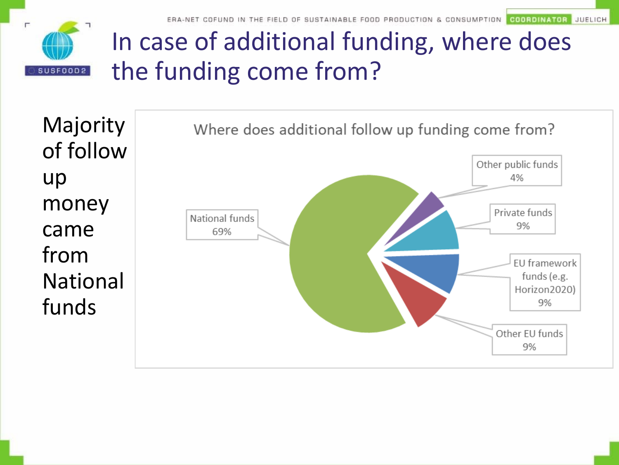**COORDINATOR** JUELICH



## In case of additional funding, where does the funding come from?

Majority of follow up money came from National funds

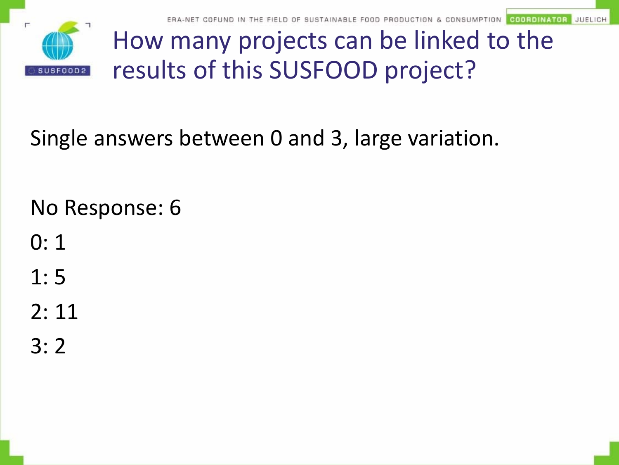

COORDINATOR **JUELICH** 

# How many projects can be linked to the results of this SUSFOOD project?

Single answers between 0 and 3, large variation.

No Response: 6

- 0: 1
- 1: 5

2: 11

3: 2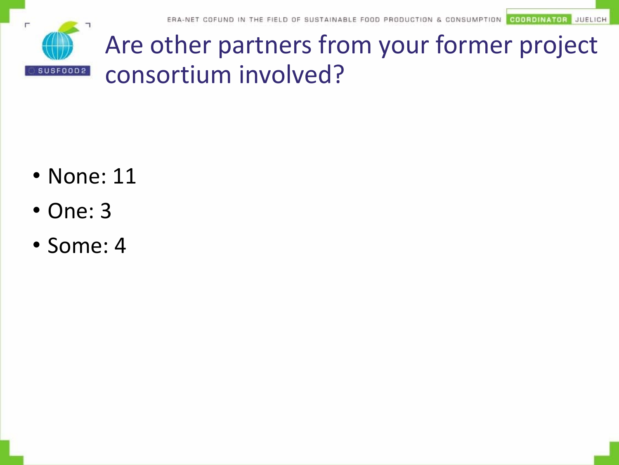

Are other partners from your former project consortium involved?

- None: 11
- One: 3
- Some: 4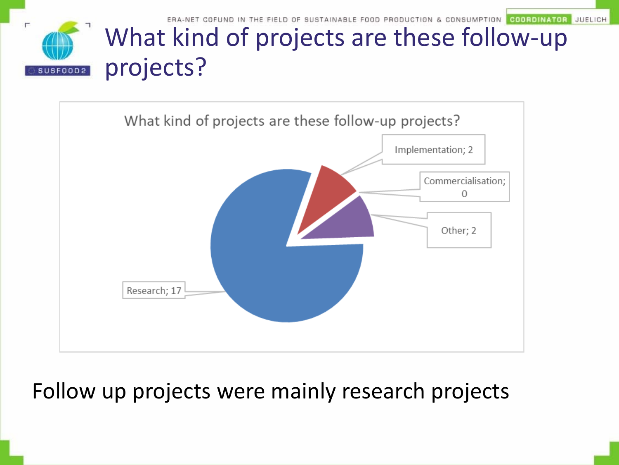**JUELICH COORDINATOR** 



#### What kind of projects are these follow-up projects?



#### Follow up projects were mainly research projects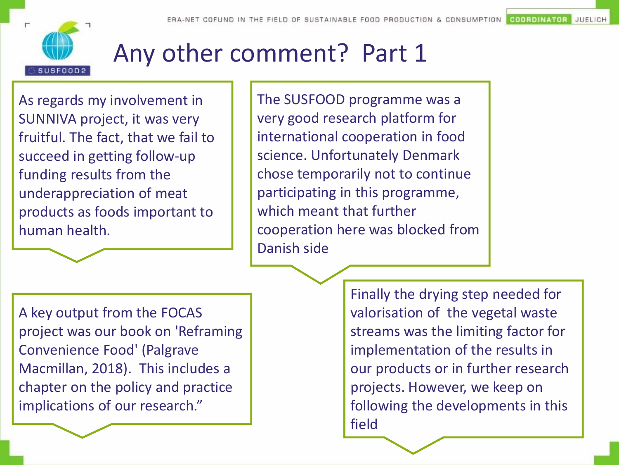

JUELICH **COORDINATOR** 

## Any other comment? Part 1

As regards my involvement in SUNNIVA project, it was very fruitful. The fact, that we fail to succeed in getting follow-up funding results from the underappreciation of meat products as foods important to human health.

The SUSFOOD programme was a very good research platform for international cooperation in food science. Unfortunately Denmark chose temporarily not to continue participating in this programme, which meant that further cooperation here was blocked from Danish side

A key output from the FOCAS project was our book on 'Reframing Convenience Food' (Palgrave Macmillan, 2018). This includes a chapter on the policy and practice implications of our research."

Finally the drying step needed for valorisation of the vegetal waste streams was the limiting factor for implementation of the results in our products or in further research projects. However, we keep on following the developments in this field